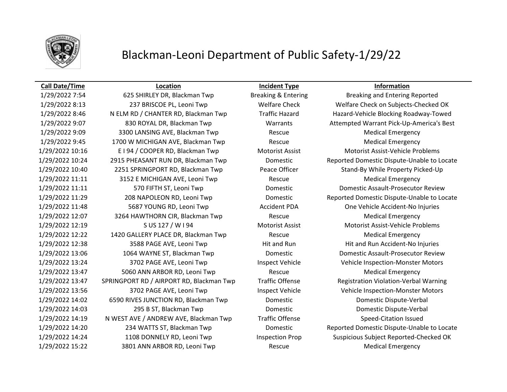

# Blackman-Leoni Department of Public Safety-1/29/22

### **Call Date/Time Location Incident Type Information**

1/29/2022 7:54 625 SHIRLEY DR, Blackman Twp Breaking & Entering Breaking and Entering Reported 1/29/2022 8:13 237 BRISCOE PL, Leoni Twp Welfare Check Welfare Check on Subjects-Checked OK 1/29/2022 8:46 N ELM RD / CHANTER RD, Blackman Twp Traffic Hazard Hazard-Vehicle Blocking Roadway-Towed 1/29/2022 9:07 830 ROYAL DR, Blackman Twp Warrants Attempted Warrant Pick-Up-America's Best 1/29/2022 9:09 3300 LANSING AVE, Blackman Twp Rescue Medical Emergency 1/29/2022 9:45 1700 W MICHIGAN AVE, Blackman Twp Rescue Rescue Medical Emergency 1/29/2022 10:16 E I 94 / COOPER RD, Blackman Twp Motorist Assist Motorist Assist-Vehicle Problems 1/29/2022 10:40 2251 SPRINGPORT RD, Blackman Twp Peace Officer Stand-By While Property Picked-Up 1/29/2022 11:11 3152 E MICHIGAN AVE, Leoni Twp Rescue Rescue Medical Emergency 1/29/2022 11:11 570 FIFTH ST, Leoni Twp Domestic Domestic Assault-Prosecutor Review 1/29/2022 11:48 5687 YOUNG RD, Leoni Twp Accident PDA One Vehicle Accident-No Injuries 1/29/2022 12:07 3264 HAWTHORN CIR, Blackman Twp Rescue Medical Emergency 1/29/2022 12:19 S US 127 / W I 94 Motorist Assist Motorist Assist-Vehicle Problems 1/29/2022 12:22 1420 GALLERY PLACE DR, Blackman Twp Rescue Medical Emergency 1/29/2022 12:38 3588 PAGE AVE, Leoni Twp Hit and Run Hit and Run Hit and Run Accident-No Injuries 1/29/2022 13:06 1064 WAYNE ST, Blackman Twp Domestic Domestic Assault-Prosecutor Review 1/29/2022 13:24 3702 PAGE AVE, Leoni Twp Inspect Vehicle Vehicle Inspection-Monster Motors 1/29/2022 13:47 5060 ANN ARBOR RD, Leoni Twp Rescue Medical Emergency 1/29/2022 13:47 SPRINGPORT RD / AIRPORT RD, Blackman Twp Traffic Offense Registration Violation-Verbal Warning 1/29/2022 13:56 3702 PAGE AVE, Leoni Twp Inspect Vehicle Vehicle Inspection-Monster Motors 1/29/2022 14:02 6590 RIVES JUNCTION RD, Blackman Twp Domestic Domestic Dispute-Verbal 1/29/2022 14:03 295 B ST, Blackman Twp Domestic Domestic Dispute-Verbal 1/29/2022 14:19 N WEST AVE / ANDREW AVE, Blackman Twp Traffic Offense Speed-Citation Issued 1/29/2022 14:24 1108 DONNELY RD, Leoni Twp Inspection Prop Suspicious Subject Reported-Checked OK 1/29/2022 15:22 3801 ANN ARBOR RD, Leoni Twp Rescue Medical Emergency

1/29/2022 10:24 2915 PHEASANT RUN DR, Blackman Twp Domestic Reported Domestic Dispute-Unable to Locate 1/29/2022 11:29 208 NAPOLEON RD, Leoni Twp Domestic Reported Domestic Dispute-Unable to Locate 1/29/2022 14:20 234 WATTS ST, Blackman Twp Domestic Reported Domestic Dispute-Unable to Locate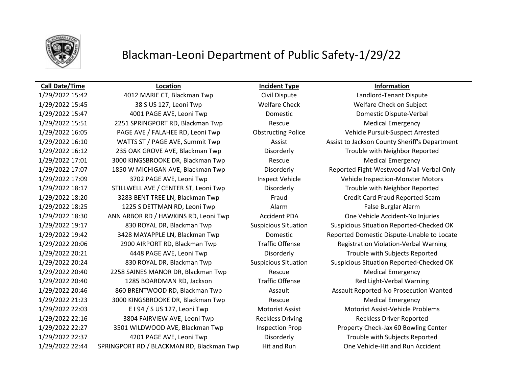

# Blackman-Leoni Department of Public Safety-1/29/22

### **Call Date/Time Location Incident Type Information**

1/29/2022 15:42 4012 MARIE CT, Blackman Twp Civil Dispute Landlord-Tenant Dispute 1/29/2022 15:45 38 S US 127, Leoni Twp Welfare Check Welfare Check on Subject 1/29/2022 15:47 4001 PAGE AVE, Leoni Twp Domestic Domestic Dispute-Verbal 1/29/2022 15:51 2251 SPRINGPORT RD, Blackman Twp Rescue Medical Emergency 1/29/2022 16:05 PAGE AVE / FALAHEE RD, Leoni Twp Obstructing Police Vehicle Pursuit-Suspect Arrested 1/29/2022 16:12 235 OAK GROVE AVE, Blackman Twp Disorderly Trouble with Neighbor Reported 1/29/2022 17:01 3000 KINGSBROOKE DR, Blackman Twp Rescue Medical Emergency 1/29/2022 17:09 3702 PAGE AVE, Leoni Twp Inspect Vehicle Vehicle Vehicle Inspection-Monster Motors 1/29/2022 18:17 STILLWELL AVE / CENTER ST, Leoni Twp Disorderly Trouble with Neighbor Reported 1/29/2022 18:20 3283 BENT TREE LN, Blackman Twp Fraud Credit Card Fraud Reported-Scam 1/29/2022 18:25 1225 S DETTMAN RD, Leoni Twp Alarm Alarm False Burglar Alarm 1/29/2022 18:30 ANN ARBOR RD / HAWKINS RD, Leoni Twp Accident PDA One Vehicle Accident-No Injuries 1/29/2022 20:06 2900 AIRPORT RD, Blackman Twp Traffic Offense Registration Violation-Verbal Warning 1/29/2022 20:21 4448 PAGE AVE, Leoni Twp Disorderly Trouble with Subjects Reported 1/29/2022 20:40 2258 SAINES MANOR DR, Blackman Twp Rescue Rescue Medical Emergency 1/29/2022 20:40 1285 BOARDMAN RD, Jackson Traffic Offense Red Light-Verbal Warning 1/29/2022 21:23 3000 KINGSBROOKE DR, Blackman Twp Rescue Medical Emergency 1/29/2022 22:03 E I 94 / S US 127, Leoni Twp Motorist Assist Motorist Assist-Vehicle Problems 1/29/2022 22:16 3804 FAIRVIEW AVE, Leoni Twp Reckless Driving Reckless Driver Reported 1/29/2022 22:27 3501 WILDWOOD AVE, Blackman Twp Inspection Prop Property Check-Jax 60 Bowling Center 1/29/2022 22:37 4201 PAGE AVE, Leoni Twp Disorderly Trouble with Subjects Reported

1/29/2022 16:10 WATTS ST / PAGE AVE, Summit Twp Assist Assist Assist to Jackson County Sheriff's Department 1/29/2022 17:07 1850 W MICHIGAN AVE, Blackman Twp Disorderly Reported Fight-Westwood Mall-Verbal Only 1/29/2022 19:17 830 ROYAL DR, Blackman Twp Suspicious Situation Suspicious Situation Reported-Checked OK 1/29/2022 19:42 3428 MAYAPPLE LN, Blackman Twp Domestic Reported Domestic Dispute-Unable to Locate 1/29/2022 20:24 830 ROYAL DR, Blackman Twp Suspicious Situation Suspicious Situation Reported-Checked OK 1/29/2022 20:46 860 BRENTWOOD RD, Blackman Twp Assault Assault Assault Reported-No Prosecution Wanted 1/29/2022 22:44 SPRINGPORT RD / BLACKMAN RD, Blackman Twp Hit and Run One Vehicle-Hit and Run Accident